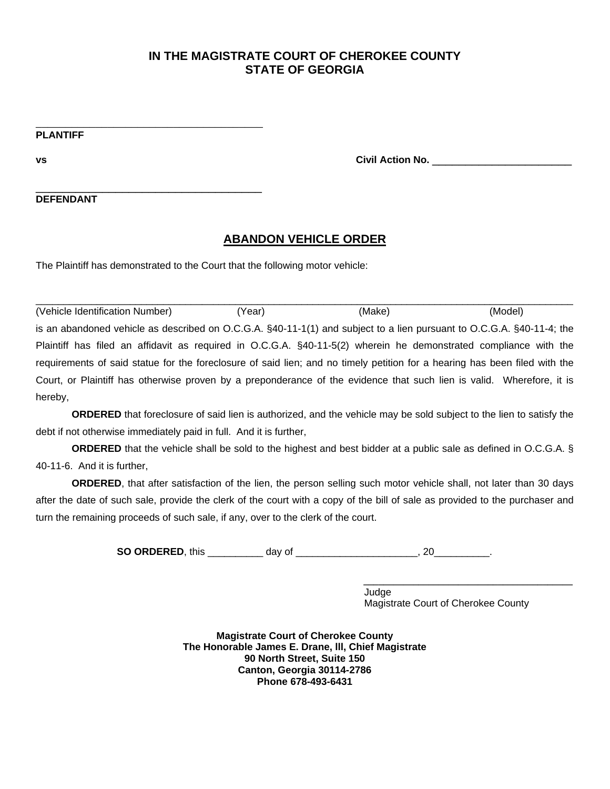\_\_\_\_\_\_\_\_\_\_\_\_\_\_\_\_\_\_\_\_\_\_\_\_\_\_\_\_\_\_\_\_\_\_\_\_\_\_ **PLANTIFF**

**vs Civil Action No.** \_\_\_\_\_\_\_\_\_\_\_\_\_\_\_\_\_\_\_\_\_

**DEFENDANT**

## **ABANDON VEHICLE ORDER**

The Plaintiff has demonstrated to the Court that the following motor vehicle:

\_\_\_\_\_\_\_\_\_\_\_\_\_\_\_\_\_\_\_\_\_\_\_\_\_\_\_\_\_\_\_\_\_\_

 $\Box$  , and the set of the set of the set of the set of the set of the set of the set of the set of the set of the set of the set of the set of the set of the set of the set of the set of the set of the set of the set of t (Vehicle Identification Number) (Year) (Make) (Model) is an abandoned vehicle as described on O.C.G.A. §40-11-1(1) and subject to a lien pursuant to O.C.G.A. §40-11-4; the Plaintiff has filed an affidavit as required in O.C.G.A. §40-11-5(2) wherein he demonstrated compliance with the requirements of said statue for the foreclosure of said lien; and no timely petition for a hearing has been filed with the Court, or Plaintiff has otherwise proven by a preponderance of the evidence that such lien is valid. Wherefore, it is hereby,

**ORDERED** that foreclosure of said lien is authorized, and the vehicle may be sold subject to the lien to satisfy the debt if not otherwise immediately paid in full. And it is further,

**ORDERED** that the vehicle shall be sold to the highest and best bidder at a public sale as defined in O.C.G.A. § 40-11-6. And it is further,

**ORDERED**, that after satisfaction of the lien, the person selling such motor vehicle shall, not later than 30 days after the date of such sale, provide the clerk of the court with a copy of the bill of sale as provided to the purchaser and turn the remaining proceeds of such sale, if any, over to the clerk of the court.

**SO ORDERED**, this day of the control of the control of the control of the control of the control of the control of the control of the control of the control of the control of the control of the control of the control of t

 **\_\_\_\_\_\_\_\_\_\_\_\_\_\_\_\_\_\_\_\_\_\_\_\_\_\_\_\_\_\_\_\_\_\_\_\_\_\_\_\_\_\_**  Judge Magistrate Court of Cherokee County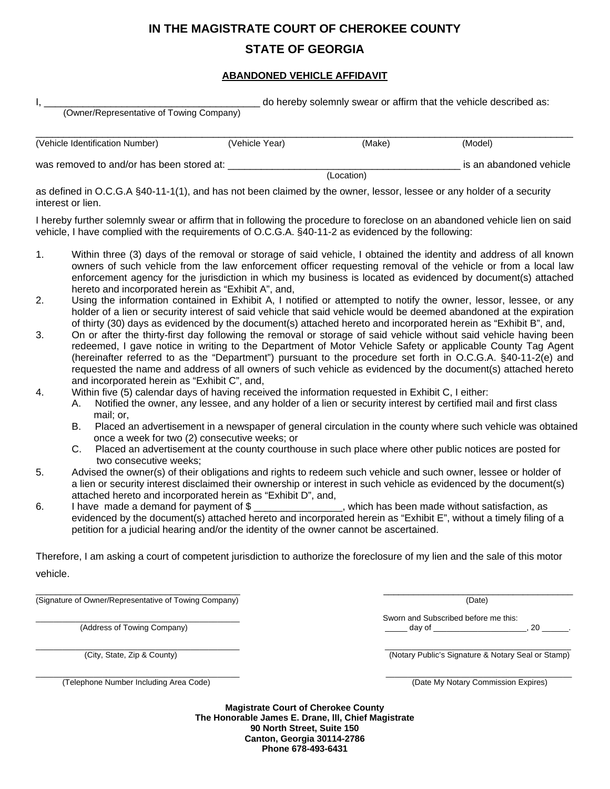# **IN THE MAGISTRATE COURT OF CHEROKEE COUNTY**

# **STATE OF GEORGIA**

#### **ABANDONED VEHICLE AFFIDAVIT**

| $\mathsf{I},\_\_$                                                                                                                                                  |                                                                                                                                                                                                                                                                                                                                                                                                                                                                                                                    |                |            | do hereby solemnly swear or affirm that the vehicle described as:                                                                                                                                                                                                                                                                                  |  |
|--------------------------------------------------------------------------------------------------------------------------------------------------------------------|--------------------------------------------------------------------------------------------------------------------------------------------------------------------------------------------------------------------------------------------------------------------------------------------------------------------------------------------------------------------------------------------------------------------------------------------------------------------------------------------------------------------|----------------|------------|----------------------------------------------------------------------------------------------------------------------------------------------------------------------------------------------------------------------------------------------------------------------------------------------------------------------------------------------------|--|
|                                                                                                                                                                    | (Owner/Representative of Towing Company)                                                                                                                                                                                                                                                                                                                                                                                                                                                                           |                |            |                                                                                                                                                                                                                                                                                                                                                    |  |
|                                                                                                                                                                    |                                                                                                                                                                                                                                                                                                                                                                                                                                                                                                                    |                |            |                                                                                                                                                                                                                                                                                                                                                    |  |
|                                                                                                                                                                    | (Vehicle Identification Number)                                                                                                                                                                                                                                                                                                                                                                                                                                                                                    | (Vehicle Year) | (Make)     | (Model)                                                                                                                                                                                                                                                                                                                                            |  |
|                                                                                                                                                                    | was removed to and/or has been stored at: ______                                                                                                                                                                                                                                                                                                                                                                                                                                                                   |                |            | is an abandoned vehicle                                                                                                                                                                                                                                                                                                                            |  |
|                                                                                                                                                                    |                                                                                                                                                                                                                                                                                                                                                                                                                                                                                                                    |                | (Location) |                                                                                                                                                                                                                                                                                                                                                    |  |
|                                                                                                                                                                    | as defined in O.C.G.A §40-11-1(1), and has not been claimed by the owner, lessor, lessee or any holder of a security<br>interest or lien.                                                                                                                                                                                                                                                                                                                                                                          |                |            |                                                                                                                                                                                                                                                                                                                                                    |  |
|                                                                                                                                                                    | vehicle, I have complied with the requirements of O.C.G.A. §40-11-2 as evidenced by the following:                                                                                                                                                                                                                                                                                                                                                                                                                 |                |            | I hereby further solemnly swear or affirm that in following the procedure to foreclose on an abandoned vehicle lien on said                                                                                                                                                                                                                        |  |
| 1.                                                                                                                                                                 | hereto and incorporated herein as "Exhibit A", and,                                                                                                                                                                                                                                                                                                                                                                                                                                                                |                |            | Within three (3) days of the removal or storage of said vehicle, I obtained the identity and address of all known<br>owners of such vehicle from the law enforcement officer requesting removal of the vehicle or from a local law<br>enforcement agency for the jurisdiction in which my business is located as evidenced by document(s) attached |  |
| 2.                                                                                                                                                                 | Using the information contained in Exhibit A, I notified or attempted to notify the owner, lessor, lessee, or any<br>holder of a lien or security interest of said vehicle that said vehicle would be deemed abandoned at the expiration<br>of thirty (30) days as evidenced by the document(s) attached hereto and incorporated herein as "Exhibit B", and,                                                                                                                                                       |                |            |                                                                                                                                                                                                                                                                                                                                                    |  |
| 3.                                                                                                                                                                 | On or after the thirty-first day following the removal or storage of said vehicle without said vehicle having been<br>redeemed, I gave notice in writing to the Department of Motor Vehicle Safety or applicable County Tag Agent<br>(hereinafter referred to as the "Department") pursuant to the procedure set forth in O.C.G.A. §40-11-2(e) and<br>requested the name and address of all owners of such vehicle as evidenced by the document(s) attached hereto<br>and incorporated herein as "Exhibit C", and, |                |            |                                                                                                                                                                                                                                                                                                                                                    |  |
| 4.                                                                                                                                                                 | Within five (5) calendar days of having received the information requested in Exhibit C, I either:<br>Notified the owner, any lessee, and any holder of a lien or security interest by certified mail and first class<br>А.<br>mail; or,                                                                                                                                                                                                                                                                           |                |            |                                                                                                                                                                                                                                                                                                                                                    |  |
| В.<br>Placed an advertisement in a newspaper of general circulation in the county where such vehicle was obtained<br>once a week for two (2) consecutive weeks; or |                                                                                                                                                                                                                                                                                                                                                                                                                                                                                                                    |                |            |                                                                                                                                                                                                                                                                                                                                                    |  |
|                                                                                                                                                                    | C.<br>two consecutive weeks;                                                                                                                                                                                                                                                                                                                                                                                                                                                                                       |                |            | Placed an advertisement at the county courthouse in such place where other public notices are posted for                                                                                                                                                                                                                                           |  |
| 5.                                                                                                                                                                 | Advised the owner(s) of their obligations and rights to redeem such vehicle and such owner, lessee or holder of<br>a lien or security interest disclaimed their ownership or interest in such vehicle as evidenced by the document(s)<br>attached hereto and incorporated herein as "Exhibit D", and,                                                                                                                                                                                                              |                |            |                                                                                                                                                                                                                                                                                                                                                    |  |
| 6.                                                                                                                                                                 | I have made a demand for payment of \$ ________________, which has been made without satisfaction, as<br>evidenced by the document(s) attached hereto and incorporated herein as "Exhibit E", without a timely filing of a<br>petition for a judicial hearing and/or the identity of the owner cannot be ascertained.                                                                                                                                                                                              |                |            |                                                                                                                                                                                                                                                                                                                                                    |  |
|                                                                                                                                                                    |                                                                                                                                                                                                                                                                                                                                                                                                                                                                                                                    |                |            | Therefore, I am asking a court of competent jurisdiction to authorize the foreclosure of my lien and the sale of this motor                                                                                                                                                                                                                        |  |
|                                                                                                                                                                    |                                                                                                                                                                                                                                                                                                                                                                                                                                                                                                                    |                |            |                                                                                                                                                                                                                                                                                                                                                    |  |
| vehicle.                                                                                                                                                           |                                                                                                                                                                                                                                                                                                                                                                                                                                                                                                                    |                |            |                                                                                                                                                                                                                                                                                                                                                    |  |

 $\_$  , and the set of the set of the set of the set of the set of the set of the set of the set of the set of the set of the set of the set of the set of the set of the set of the set of the set of the set of the set of th (Signature of Owner/Representative of Towing Company) (Date)

Sworn and Subscribed before me this: (Address of Towing Company) example and the set of Towing Company) and the set of the set of the set of the set of the set of the set of the set of the set of the set of the set of the set of the set of the set of the set

\_\_\_\_\_\_\_\_\_\_\_\_\_\_\_\_\_\_\_\_\_\_\_\_\_\_\_\_\_\_\_\_\_\_\_\_\_\_\_\_\_\_\_\_\_\_ \_\_\_\_\_\_\_\_\_\_\_\_\_\_\_\_\_\_\_\_\_\_\_\_\_\_\_\_\_\_\_\_\_\_\_\_\_\_\_\_\_\_

(City, State, Zip & County) (Notary Public's Signature & Notary Seal or Stamp)

 $\_$  , and the contribution of the contribution of  $\_$  . The contribution of  $\_$  , and  $\_$  , and  $\_$  ,  $\_$  ,  $\_$  ,  $\_$  ,  $\_$  ,  $\_$  ,  $\_$  ,  $\_$  ,  $\_$  ,  $\_$  ,  $\_$  ,  $\_$  ,  $\_$  ,  $\_$  ,  $\_$  ,  $\_$  ,  $\_$  ,  $\_$  ,  $\_$  ,  $\_$  ,  $\_$  , (Telephone Number Including Area Code) (Date My Notary Commission Expires)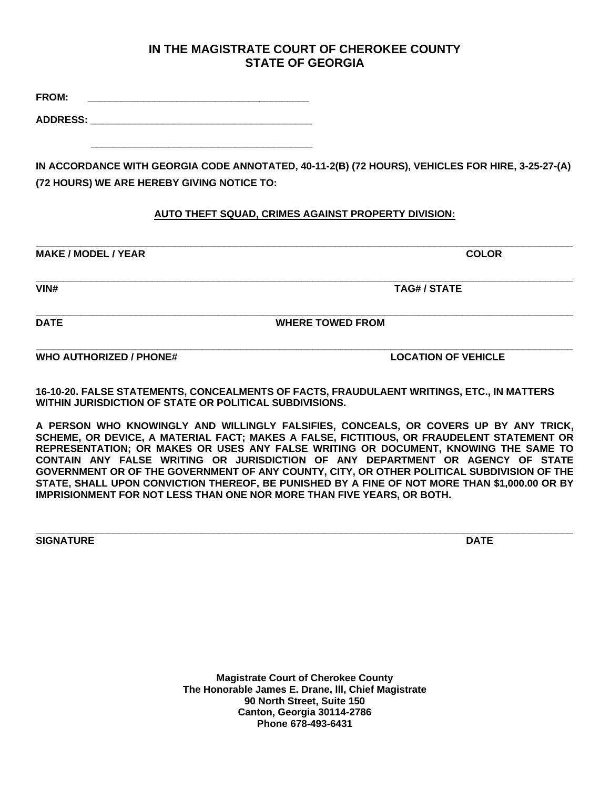**FROM: \_\_\_\_\_\_\_\_\_\_\_\_\_\_\_\_\_\_\_\_\_\_\_\_\_\_\_\_\_\_\_\_\_\_\_\_\_\_\_\_** 

**ADDRESS: \_\_\_\_\_\_\_\_\_\_\_\_\_\_\_\_\_\_\_\_\_\_\_\_\_\_\_\_\_\_\_\_\_\_\_\_\_\_\_\_** 

 **\_\_\_\_\_\_\_\_\_\_\_\_\_\_\_\_\_\_\_\_\_\_\_\_\_\_\_\_\_\_\_\_\_\_\_\_\_\_\_\_** 

**IN ACCORDANCE WITH GEORGIA CODE ANNOTATED, 40-11-2(B) (72 HOURS), VEHICLES FOR HIRE, 3-25-27-(A) (72 HOURS) WE ARE HEREBY GIVING NOTICE TO:**

## **AUTO THEFT SQUAD, CRIMES AGAINST PROPERTY DIVISION:**

**\_\_\_\_\_\_\_\_\_\_\_\_\_\_\_\_\_\_\_\_\_\_\_\_\_\_\_\_\_\_\_\_\_\_\_\_\_\_\_\_\_\_\_\_\_\_\_\_\_\_\_\_\_\_\_\_\_\_\_\_\_\_\_\_\_\_\_\_\_\_\_\_\_\_\_\_\_\_\_\_\_\_\_\_\_\_\_\_\_\_\_\_\_\_\_\_\_** 

**\_\_\_\_\_\_\_\_\_\_\_\_\_\_\_\_\_\_\_\_\_\_\_\_\_\_\_\_\_\_\_\_\_\_\_\_\_\_\_\_\_\_\_\_\_\_\_\_\_\_\_\_\_\_\_\_\_\_\_\_\_\_\_\_\_\_\_\_\_\_\_\_\_\_\_\_\_\_\_\_\_\_\_\_\_\_\_\_\_\_\_\_\_\_\_\_\_ MAKE / MODEL / YEAR COLOR** 

**\_\_\_\_\_\_\_\_\_\_\_\_\_\_\_\_\_\_\_\_\_\_\_\_\_\_\_\_\_\_\_\_\_\_\_\_\_\_\_\_\_\_\_\_\_\_\_\_\_\_\_\_\_\_\_\_\_\_\_\_\_\_\_\_\_\_\_\_\_\_\_\_\_\_\_\_\_\_\_\_\_\_\_\_\_\_\_\_\_\_\_\_\_\_\_\_\_ VIN# TAG# / STATE** 

**DATE DATE WHERE TOWED FROM** 

**WHO AUTHORIZED / PHONE# LOCATION OF VEHICLE** 

**\_\_\_\_\_\_\_\_\_\_\_\_\_\_\_\_\_\_\_\_\_\_\_\_\_\_\_\_\_\_\_\_\_\_\_\_\_\_\_\_\_\_\_\_\_\_\_\_\_\_\_\_\_\_\_\_\_\_\_\_\_\_\_\_\_\_\_\_\_\_\_\_\_\_\_\_\_\_\_\_\_\_\_\_\_\_\_\_\_\_\_\_\_\_\_\_\_** 

**16-10-20. FALSE STATEMENTS, CONCEALMENTS OF FACTS, FRAUDULAENT WRITINGS, ETC., IN MATTERS WITHIN JURISDICTION OF STATE OR POLITICAL SUBDIVISIONS.** 

**A PERSON WHO KNOWINGLY AND WILLINGLY FALSIFIES, CONCEALS, OR COVERS UP BY ANY TRICK, SCHEME, OR DEVICE, A MATERIAL FACT; MAKES A FALSE, FICTITIOUS, OR FRAUDELENT STATEMENT OR REPRESENTATION; OR MAKES OR USES ANY FALSE WRITING OR DOCUMENT, KNOWING THE SAME TO CONTAIN ANY FALSE WRITING OR JURISDICTION OF ANY DEPARTMENT OR AGENCY OF STATE GOVERNMENT OR OF THE GOVERNMENT OF ANY COUNTY, CITY, OR OTHER POLITICAL SUBDIVISION OF THE STATE, SHALL UPON CONVICTION THEREOF, BE PUNISHED BY A FINE OF NOT MORE THAN \$1,000.00 OR BY IMPRISIONMENT FOR NOT LESS THAN ONE NOR MORE THAN FIVE YEARS, OR BOTH.** 

**\_\_\_\_\_\_\_\_\_\_\_\_\_\_\_\_\_\_\_\_\_\_\_\_\_\_\_\_\_\_\_\_\_\_\_\_\_\_\_\_\_\_\_\_\_\_\_\_\_\_\_\_\_\_\_\_\_\_\_\_\_\_\_\_\_\_\_\_\_\_\_\_\_\_\_\_\_\_\_\_\_\_\_\_\_\_\_\_\_\_\_\_\_\_\_\_\_ SIGNATURE DATE** DATE DATE OF A SERIES OF A SERIES OF A SERIES OF A SERIES OF A SERIES OF A SERIES OF A SERIES OF A SERIES OF A SERIES OF A SERIES OF A SERIES OF A SERIES OF A SERIES OF A SERIES OF A SERIES OF A SERIES OF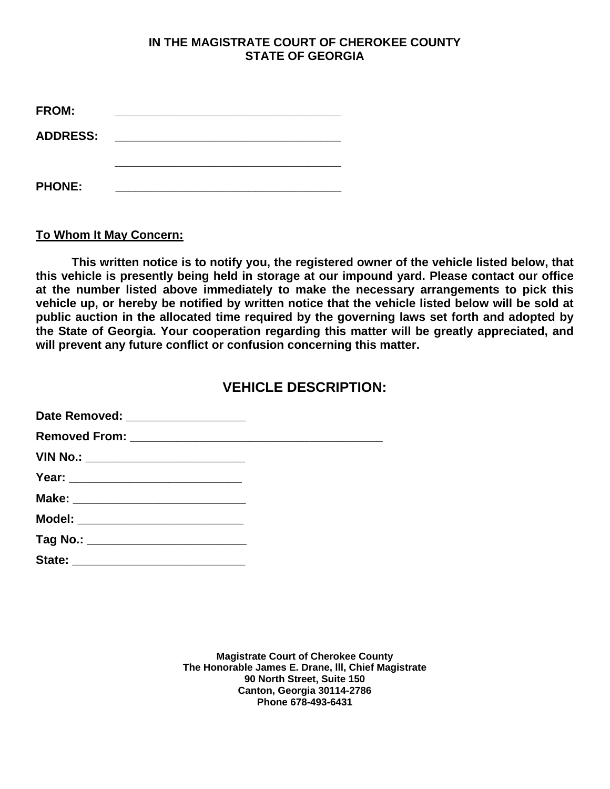| FROM:           |  |  |
|-----------------|--|--|
| <b>ADDRESS:</b> |  |  |
|                 |  |  |
| <b>PHONE:</b>   |  |  |

**To Whom It May Concern:** 

 **This written notice is to notify you, the registered owner of the vehicle listed below, that this vehicle is presently being held in storage at our impound yard. Please contact our office at the number listed above immediately to make the necessary arrangements to pick this vehicle up, or hereby be notified by written notice that the vehicle listed below will be sold at public auction in the allocated time required by the governing laws set forth and adopted by the State of Georgia. Your cooperation regarding this matter will be greatly appreciated, and will prevent any future conflict or confusion concerning this matter.** 

# **VEHICLE DESCRIPTION:**

| Date Removed: ___________________     |  |
|---------------------------------------|--|
|                                       |  |
| VIN No.: __________________________   |  |
|                                       |  |
|                                       |  |
| Model: ___________________________    |  |
| Tag No.: ____________________________ |  |
|                                       |  |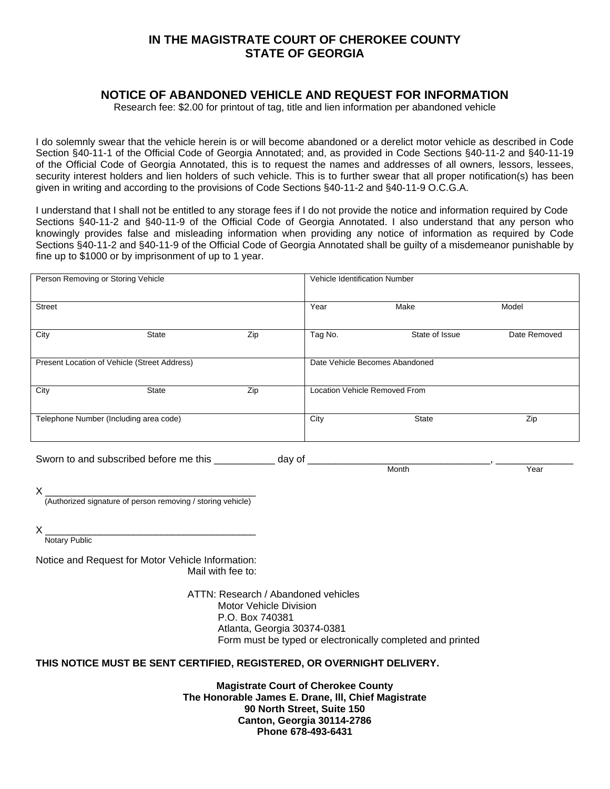### **NOTICE OF ABANDONED VEHICLE AND REQUEST FOR INFORMATION**

Research fee: \$2.00 for printout of tag, title and lien information per abandoned vehicle

I do solemnly swear that the vehicle herein is or will become abandoned or a derelict motor vehicle as described in Code Section §40-11-1 of the Official Code of Georgia Annotated; and, as provided in Code Sections §40-11-2 and §40-11-19 of the Official Code of Georgia Annotated, this is to request the names and addresses of all owners, lessors, lessees, security interest holders and lien holders of such vehicle. This is to further swear that all proper notification(s) has been given in writing and according to the provisions of Code Sections §40-11-2 and §40-11-9 O.C.G.A.

I understand that I shall not be entitled to any storage fees if I do not provide the notice and information required by Code Sections §40-11-2 and §40-11-9 of the Official Code of Georgia Annotated. I also understand that any person who knowingly provides false and misleading information when providing any notice of information as required by Code Sections §40-11-2 and §40-11-9 of the Official Code of Georgia Annotated shall be guilty of a misdemeanor punishable by fine up to \$1000 or by imprisonment of up to 1 year.

| Person Removing or Storing Vehicle           |                                        |     | Vehicle Identification Number  |                                      |              |
|----------------------------------------------|----------------------------------------|-----|--------------------------------|--------------------------------------|--------------|
| <b>Street</b>                                |                                        |     | Year                           | Make                                 | Model        |
| City                                         | <b>State</b>                           | Zip | Tag No.                        | State of Issue                       | Date Removed |
| Present Location of Vehicle (Street Address) |                                        |     | Date Vehicle Becomes Abandoned |                                      |              |
| City                                         | <b>State</b>                           | Zip |                                | <b>Location Vehicle Removed From</b> |              |
|                                              | Telephone Number (Including area code) |     | City                           | <b>State</b>                         | Zip          |

Sworn to and subscribed before me this \_\_\_\_\_\_\_\_\_\_\_\_ day of \_\_\_\_\_\_\_\_\_\_\_\_\_\_\_\_\_\_\_\_\_

Month Near New Year New Year New Year New Year New Year New Year New Year New Year New Year New Year New Year

X \_\_\_\_\_\_\_\_\_\_\_\_\_\_\_\_\_\_\_\_\_\_\_\_\_\_\_\_\_\_\_\_\_\_\_\_\_\_ (Authorized signature of person removing / storing vehicle)

X \_\_\_\_\_\_\_\_\_\_\_\_\_\_\_\_\_\_\_\_\_\_\_\_\_\_\_\_\_\_\_\_\_\_\_\_\_\_

Notary Public

Notice and Request for Motor Vehicle Information: Mail with fee to:

> ATTN: Research / Abandoned vehicles Motor Vehicle Division P.O. Box 740381 Atlanta, Georgia 30374-0381 Form must be typed or electronically completed and printed

#### **THIS NOTICE MUST BE SENT CERTIFIED, REGISTERED, OR OVERNIGHT DELIVERY.**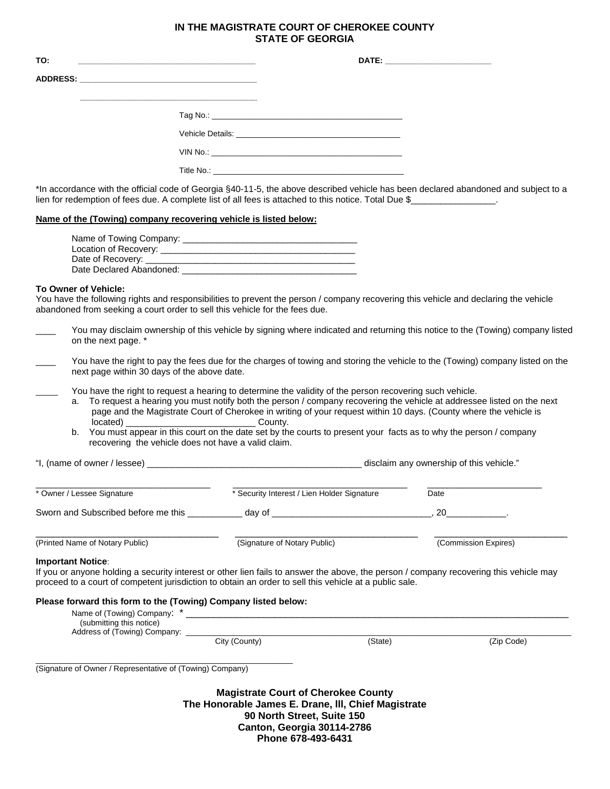| TO:<br><u> 1989 - Jan Samuel Barbara, margaret eta idazlea (h. 1989).</u> |  | DATE: __________________________ |
|---------------------------------------------------------------------------|--|----------------------------------|
|                                                                           |  |                                  |
|                                                                           |  |                                  |
|                                                                           |  |                                  |
|                                                                           |  |                                  |
|                                                                           |  |                                  |
|                                                                           |  |                                  |

\*In accordance with the official code of Georgia §40-11-5, the above described vehicle has been declared abandoned and subject to a lien for redemption of fees due. A complete list of all fees is attached to this notice. Total Due \$

#### **Name of the (Towing) company recovering vehicle is listed below:**

| Name of Towing Company:  |  |
|--------------------------|--|
| Location of Recovery:    |  |
| Date of Recovery:        |  |
| Date Declared Abandoned: |  |

#### **To Owner of Vehicle:**

You have the following rights and responsibilities to prevent the person / company recovering this vehicle and declaring the vehicle abandoned from seeking a court order to sell this vehicle for the fees due.

| You may disclaim ownership of this vehicle by signing where indicated and returning this notice to the (Towing) company listed |
|--------------------------------------------------------------------------------------------------------------------------------|
| on the next page. *                                                                                                            |

You have the right to pay the fees due for the charges of towing and storing the vehicle to the (Towing) company listed on the next page within 30 days of the above date.

You have the right to request a hearing to determine the validity of the person recovering such vehicle.

- a. To request a hearing you must notify both the person / company recovering the vehicle at addressee listed on the next page and the Magistrate Court of Cherokee in writing of your request within 10 days. (County where the vehicle is located) \_\_\_\_\_\_\_\_\_\_\_\_\_\_\_\_\_\_\_\_\_\_\_\_\_\_ County.
- b. You must appear in this court on the date set by the courts to present your facts as to why the person / company recovering the vehicle does not have a valid claim.

"I, (name of owner / lessee) \_\_\_\_\_\_\_\_\_\_\_\_\_\_\_\_\_\_\_\_\_\_\_\_\_\_\_\_\_\_\_\_\_\_\_\_\_\_\_\_\_\_\_ disclaim any ownership of this vehicle."

| * Owner / Lessee Signature          | * Security Interest / Lien Holder Signature | Date                 |
|-------------------------------------|---------------------------------------------|----------------------|
| Sworn and Subscribed before me this | dav of                                      |                      |
| (Printed Name of Notary Public)     | (Signature of Notary Public)                | (Commission Expires) |

#### **Important Notice**:

If you or anyone holding a security interest or other lien fails to answer the above, the person / company recovering this vehicle may proceed to a court of competent jurisdiction to obtain an order to sell this vehicle at a public sale.

#### **Please forward this form to the (Towing) Company listed below:**

\_\_\_\_\_\_\_\_\_\_\_\_\_\_\_\_\_\_\_\_\_\_\_\_\_\_\_\_\_\_\_\_\_\_\_\_\_\_\_\_\_\_\_\_\_\_\_\_\_\_\_\_\_\_\_\_\_\_

| Name of (Towing) Company:    | .             |         |            |
|------------------------------|---------------|---------|------------|
| (submitting this notice)     |               |         |            |
| Address of (Towing) Company: |               |         |            |
|                              | City (County) | 'State' | (Zip Code) |

(Signature of Owner / Representative of (Towing) Company)